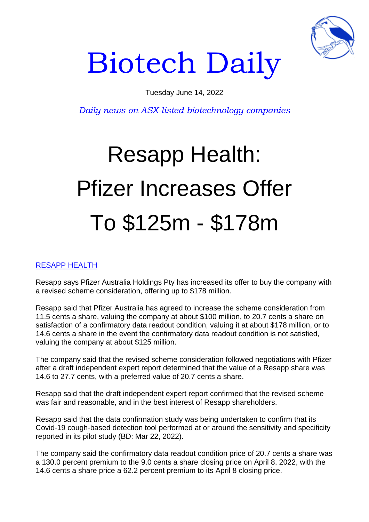

## Biotech Daily

Tuesday June 14, 2022

*Daily news on ASX-listed biotechnology companies*

## Resapp Health: Pfizer Increases Offer To \$125m - \$178m

## RESAPP HEALTH

Resapp says Pfizer Australia Holdings Pty has increased its offer to buy the company with a revised scheme consideration, offering up to \$178 million.

Resapp said that Pfizer Australia has agreed to increase the scheme consideration from 11.5 cents a share, valuing the company at about \$100 million, to 20.7 cents a share on satisfaction of a confirmatory data readout condition, valuing it at about \$178 million, or to 14.6 cents a share in the event the confirmatory data readout condition is not satisfied, valuing the company at about \$125 million.

The company said that the revised scheme consideration followed negotiations with Pfizer after a draft independent expert report determined that the value of a Resapp share was 14.6 to 27.7 cents, with a preferred value of 20.7 cents a share.

Resapp said that the draft independent expert report confirmed that the revised scheme was fair and reasonable, and in the best interest of Resapp shareholders.

Resapp said that the data confirmation study was being undertaken to confirm that its Covid-19 cough-based detection tool performed at or around the sensitivity and specificity reported in its pilot study (BD: Mar 22, 2022).

The company said the confirmatory data readout condition price of 20.7 cents a share was a 130.0 percent premium to the 9.0 cents a share closing price on April 8, 2022, with the 14.6 cents a share price a 62.2 percent premium to its April 8 closing price.